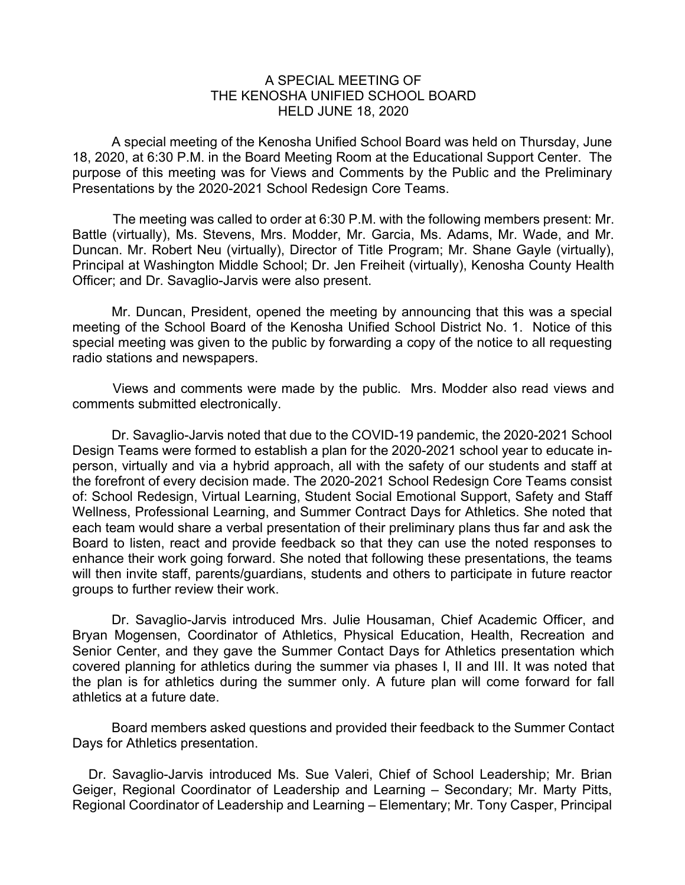## A SPECIAL MEETING OF THE KENOSHA UNIFIED SCHOOL BOARD HELD JUNE 18, 2020

A special meeting of the Kenosha Unified School Board was held on Thursday, June 18, 2020, at 6:30 P.M. in the Board Meeting Room at the Educational Support Center. The purpose of this meeting was for Views and Comments by the Public and the Preliminary Presentations by the 2020-2021 School Redesign Core Teams.

The meeting was called to order at 6:30 P.M. with the following members present: Mr. Battle (virtually), Ms. Stevens, Mrs. Modder, Mr. Garcia, Ms. Adams, Mr. Wade, and Mr. Duncan. Mr. Robert Neu (virtually), Director of Title Program; Mr. Shane Gayle (virtually), Principal at Washington Middle School; Dr. Jen Freiheit (virtually), Kenosha County Health Officer; and Dr. Savaglio-Jarvis were also present.

Mr. Duncan, President, opened the meeting by announcing that this was a special meeting of the School Board of the Kenosha Unified School District No. 1. Notice of this special meeting was given to the public by forwarding a copy of the notice to all requesting radio stations and newspapers.

Views and comments were made by the public. Mrs. Modder also read views and comments submitted electronically.

Dr. Savaglio-Jarvis noted that due to the COVID-19 pandemic, the 2020-2021 School Design Teams were formed to establish a plan for the 2020-2021 school year to educate inperson, virtually and via a hybrid approach, all with the safety of our students and staff at the forefront of every decision made. The 2020-2021 School Redesign Core Teams consist of: School Redesign, Virtual Learning, Student Social Emotional Support, Safety and Staff Wellness, Professional Learning, and Summer Contract Days for Athletics. She noted that each team would share a verbal presentation of their preliminary plans thus far and ask the Board to listen, react and provide feedback so that they can use the noted responses to enhance their work going forward. She noted that following these presentations, the teams will then invite staff, parents/guardians, students and others to participate in future reactor groups to further review their work.

Dr. Savaglio-Jarvis introduced Mrs. Julie Housaman, Chief Academic Officer, and Bryan Mogensen, Coordinator of Athletics, Physical Education, Health, Recreation and Senior Center, and they gave the Summer Contact Days for Athletics presentation which covered planning for athletics during the summer via phases I, II and III. It was noted that the plan is for athletics during the summer only. A future plan will come forward for fall athletics at a future date.

Board members asked questions and provided their feedback to the Summer Contact Days for Athletics presentation.

Dr. Savaglio-Jarvis introduced Ms. Sue Valeri, Chief of School Leadership; Mr. Brian Geiger, Regional Coordinator of Leadership and Learning – Secondary; Mr. Marty Pitts, Regional Coordinator of Leadership and Learning – Elementary; Mr. Tony Casper, Principal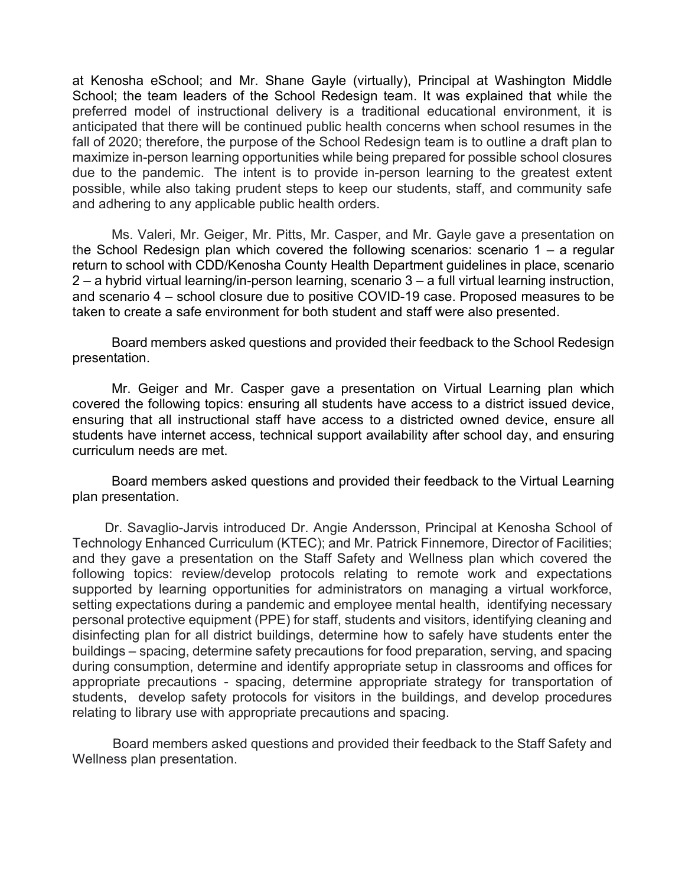at Kenosha eSchool; and Mr. Shane Gayle (virtually), Principal at Washington Middle School; the team leaders of the School Redesign team. It was explained that while the preferred model of instructional delivery is a traditional educational environment, it is anticipated that there will be continued public health concerns when school resumes in the fall of 2020; therefore, the purpose of the School Redesign team is to outline a draft plan to maximize in-person learning opportunities while being prepared for possible school closures due to the pandemic. The intent is to provide in-person learning to the greatest extent possible, while also taking prudent steps to keep our students, staff, and community safe and adhering to any applicable public health orders.

Ms. Valeri, Mr. Geiger, Mr. Pitts, Mr. Casper, and Mr. Gayle gave a presentation on the School Redesign plan which covered the following scenarios: scenario  $1 - a$  regular return to school with CDD/Kenosha County Health Department guidelines in place, scenario 2 – a hybrid virtual learning/in-person learning, scenario 3 – a full virtual learning instruction, and scenario 4 – school closure due to positive COVID-19 case. Proposed measures to be taken to create a safe environment for both student and staff were also presented.

Board members asked questions and provided their feedback to the School Redesign presentation.

Mr. Geiger and Mr. Casper gave a presentation on Virtual Learning plan which covered the following topics: ensuring all students have access to a district issued device, ensuring that all instructional staff have access to a districted owned device, ensure all students have internet access, technical support availability after school day, and ensuring curriculum needs are met.

Board members asked questions and provided their feedback to the Virtual Learning plan presentation.

Dr. Savaglio-Jarvis introduced Dr. Angie Andersson, Principal at Kenosha School of Technology Enhanced Curriculum (KTEC); and Mr. Patrick Finnemore, Director of Facilities; and they gave a presentation on the Staff Safety and Wellness plan which covered the following topics: review/develop protocols relating to remote work and expectations supported by learning opportunities for administrators on managing a virtual workforce, setting expectations during a pandemic and employee mental health, identifying necessary personal protective equipment (PPE) for staff, students and visitors, identifying cleaning and disinfecting plan for all district buildings, determine how to safely have students enter the buildings – spacing, determine safety precautions for food preparation, serving, and spacing during consumption, determine and identify appropriate setup in classrooms and offices for appropriate precautions - spacing, determine appropriate strategy for transportation of students, develop safety protocols for visitors in the buildings, and develop procedures relating to library use with appropriate precautions and spacing.

Board members asked questions and provided their feedback to the Staff Safety and Wellness plan presentation.